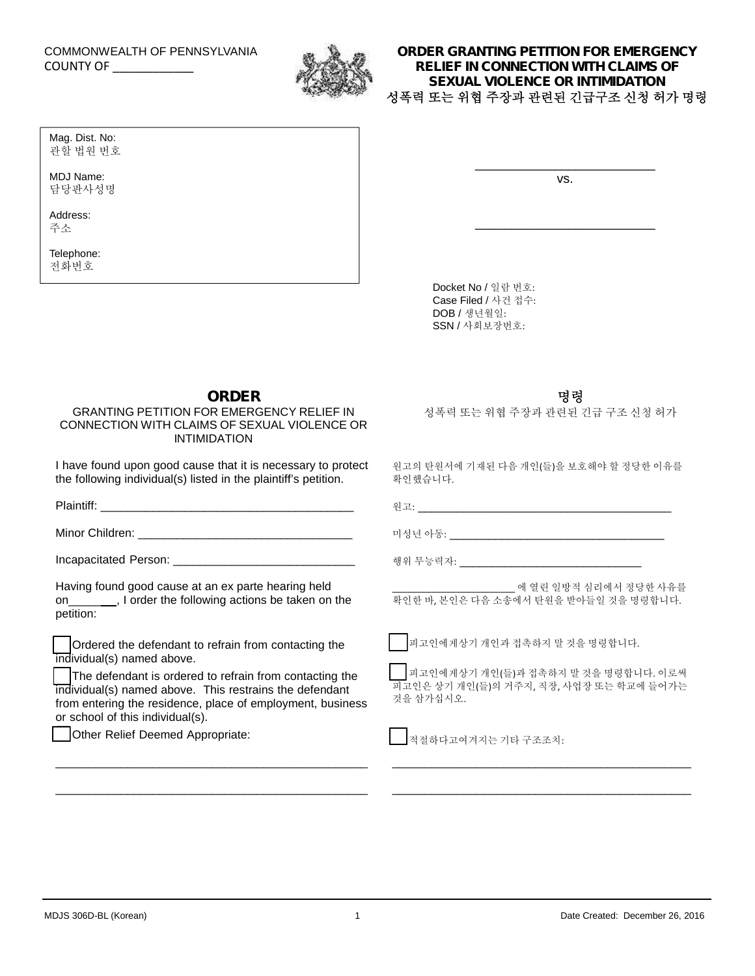## COMMONWEALTH OF PENNSYLVANIA

Mag. Dist. No: 관할 법원 번호

MDJ Name: 담당판사성명

Address: 주소

Telephone: 전화번호



## COUNTY OF \_\_\_\_\_\_\_\_\_\_\_\_ **ORDER GRANTING PETITION FOR EMERGENCY RELIEF IN CONNECTION WITH CLAIMS OF SEXUAL VIOLENCE OR INTIMIDATION 성폭력 또는 위협 주장과 관련된 긴급구조 신청 허가 명령**

vs.

\_\_\_\_\_\_\_\_\_\_\_\_\_\_\_\_\_\_\_\_\_\_\_\_\_

\_\_\_\_\_\_\_\_\_\_\_\_\_\_\_\_\_\_\_\_\_\_\_\_\_

Docket No / 일람 번호: Case Filed / 사건 접수: DOB / 생년월일: SSN / 사회보장번호:

**ORDER**

\_\_\_\_\_\_\_\_\_\_\_\_\_\_\_\_\_\_\_\_\_\_\_\_\_\_\_\_\_\_\_\_\_\_\_\_\_\_\_\_\_\_\_\_\_\_\_\_

\_\_\_\_\_\_\_\_\_\_\_\_\_\_\_\_\_\_\_\_\_\_\_\_\_\_\_\_\_\_\_\_\_\_\_\_\_\_\_\_\_\_\_\_\_\_\_\_

GRANTING PETITION FOR EMERGENCY RELIEF IN CONNECTION WITH CLAIMS OF SEXUAL VIOLENCE OR INTIMIDATION

I have found upon good cause that it is necessary to protect the following individual(s) listed in the plaintiff's petition.

| Having found good cause at an ex parte hearing held<br>on ______, I order the following actions be taken on the<br>petition:                                                                                                                                                                               | ___________________________ 에 열린 일방적 심리에서 정당한 사유를<br>확인한 바, 본인은 다음 소송에서 탄원을 받아들일 것을 명령합니다.                                          |
|------------------------------------------------------------------------------------------------------------------------------------------------------------------------------------------------------------------------------------------------------------------------------------------------------------|-------------------------------------------------------------------------------------------------------------------------------------|
| Ordered the defendant to refrain from contacting the<br>individual(s) named above.<br>The defendant is ordered to refrain from contacting the<br>individual(s) named above. This restrains the defendant<br>from entering the residence, place of employment, business<br>or school of this individual(s). | ▌   피고인에게상기 개인과 접촉하지 말 것을 명령합니다.<br>│ │ 피고인에게상기 개인(들)과 접촉하지 말 것을 명령합니다. 이로써<br>피고인은 상기 개인(들)의 거주지, 직장, 사업장 또는 학교에 들어가는<br>것을 삼가십시오. |

Other Relief Deemed Appropriate:

적절하다고여겨지는 기타 구조조치:

**명령**

성폭력 또는 위협 주장과 관련된 긴급 구조 신청 허가

원고의 탄원서에 기재된 다음 개인(들)을 보호해야 할 정당한 이유를 확인했습니다.

\_\_\_\_\_\_\_\_\_\_\_\_\_\_\_\_\_\_\_\_\_\_\_\_\_\_\_\_\_\_\_\_\_\_\_\_\_\_\_\_\_\_\_\_\_\_

\_\_\_\_\_\_\_\_\_\_\_\_\_\_\_\_\_\_\_\_\_\_\_\_\_\_\_\_\_\_\_\_\_\_\_\_\_\_\_\_\_\_\_\_\_\_